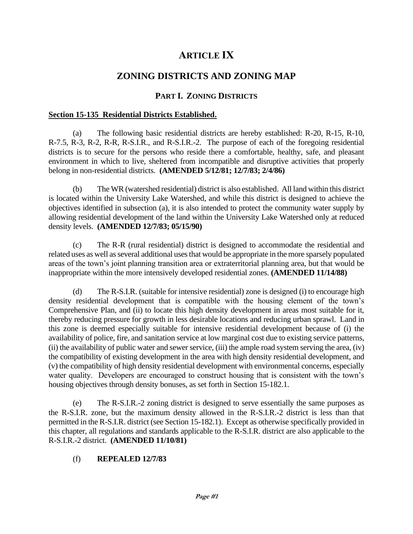# **ARTICLE IX**

# **ZONING DISTRICTS AND ZONING MAP**

# **PART I. ZONING DISTRICTS**

### **Section 15-135 Residential Districts Established.**

(a) The following basic residential districts are hereby established: R-20, R-15, R-10, R-7.5, R-3, R-2, R-R, R-S.I.R., and R-S.I.R.-2. The purpose of each of the foregoing residential districts is to secure for the persons who reside there a comfortable, healthy, safe, and pleasant environment in which to live, sheltered from incompatible and disruptive activities that properly belong in non-residential districts. **(AMENDED 5/12/81; 12/7/83; 2/4/86)**

(b) The WR (watershed residential) district is also established. All land within this district is located within the University Lake Watershed, and while this district is designed to achieve the objectives identified in subsection (a), it is also intended to protect the community water supply by allowing residential development of the land within the University Lake Watershed only at reduced density levels. **(AMENDED 12/7/83; 05/15/90)**

(c) The R-R (rural residential) district is designed to accommodate the residential and related uses as well as several additional uses that would be appropriate in the more sparsely populated areas of the town's joint planning transition area or extraterritorial planning area, but that would be inappropriate within the more intensively developed residential zones. **(AMENDED 11/14/88)**

(d) The R-S.I.R. (suitable for intensive residential) zone is designed (i) to encourage high density residential development that is compatible with the housing element of the town's Comprehensive Plan, and (ii) to locate this high density development in areas most suitable for it, thereby reducing pressure for growth in less desirable locations and reducing urban sprawl. Land in this zone is deemed especially suitable for intensive residential development because of (i) the availability of police, fire, and sanitation service at low marginal cost due to existing service patterns, (ii) the availability of public water and sewer service, (iii) the ample road system serving the area, (iv) the compatibility of existing development in the area with high density residential development, and (v) the compatibility of high density residential development with environmental concerns, especially water quality. Developers are encouraged to construct housing that is consistent with the town's housing objectives through density bonuses, as set forth in Section 15-182.1.

(e) The R-S.I.R.-2 zoning district is designed to serve essentially the same purposes as the R-S.I.R. zone, but the maximum density allowed in the R-S.I.R.-2 district is less than that permitted in the R-S.I.R. district (see Section 15-182.1). Except as otherwise specifically provided in this chapter, all regulations and standards applicable to the R-S.I.R. district are also applicable to the R-S.I.R.-2 district. **(AMENDED 11/10/81)**

# (f) **REPEALED 12/7/83**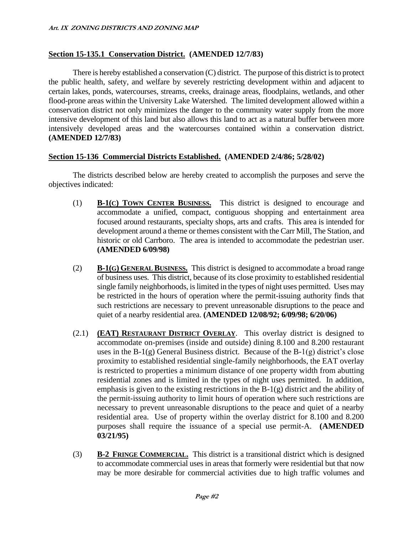#### **Section 15-135.1 Conservation District. (AMENDED 12/7/83)**

There is hereby established a conservation (C) district. The purpose of this district is to protect the public health, safety, and welfare by severely restricting development within and adjacent to certain lakes, ponds, watercourses, streams, creeks, drainage areas, floodplains, wetlands, and other flood-prone areas within the University Lake Watershed. The limited development allowed within a conservation district not only minimizes the danger to the community water supply from the more intensive development of this land but also allows this land to act as a natural buffer between more intensively developed areas and the watercourses contained within a conservation district. **(AMENDED 12/7/83)**

#### **Section 15-136 Commercial Districts Established. (AMENDED 2/4/86; 5/28/02)**

The districts described below are hereby created to accomplish the purposes and serve the objectives indicated:

- (1) **B-1(C) TOWN CENTER BUSINESS.** This district is designed to encourage and accommodate a unified, compact, contiguous shopping and entertainment area focused around restaurants, specialty shops, arts and crafts. This area is intended for development around a theme or themes consistent with the Carr Mill, The Station, and historic or old Carrboro. The area is intended to accommodate the pedestrian user. **(AMENDED 6/09/98)**
- (2) **B-1(G) GENERAL BUSINESS.** This district is designed to accommodate a broad range of business uses. This district, because of its close proximity to established residential single family neighborhoods, is limited in the types of night uses permitted. Uses may be restricted in the hours of operation where the permit-issuing authority finds that such restrictions are necessary to prevent unreasonable disruptions to the peace and quiet of a nearby residential area. **(AMENDED 12/08/92; 6/09/98; 6/20/06)**
- (2.1) **(EAT) RESTAURANT DISTRICT OVERLAY**. This overlay district is designed to accommodate on-premises (inside and outside) dining 8.100 and 8.200 restaurant uses in the  $B-1(g)$  General Business district. Because of the  $B-1(g)$  district's close proximity to established residential single-family neighborhoods, the EAT overlay is restricted to properties a minimum distance of one property width from abutting residential zones and is limited in the types of night uses permitted. In addition, emphasis is given to the existing restrictions in the B-1(g) district and the ability of the permit-issuing authority to limit hours of operation where such restrictions are necessary to prevent unreasonable disruptions to the peace and quiet of a nearby residential area. Use of property within the overlay district for 8.100 and 8.200 purposes shall require the issuance of a special use permit-A. **(AMENDED 03/21/95)**
- (3) **B-2 FRINGE COMMERCIAL.** This district is a transitional district which is designed to accommodate commercial uses in areas that formerly were residential but that now may be more desirable for commercial activities due to high traffic volumes and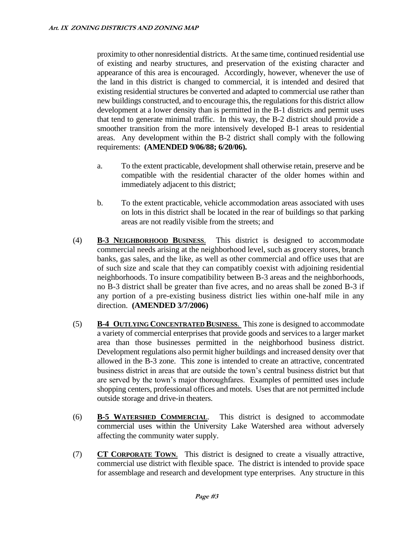proximity to other nonresidential districts. At the same time, continued residential use of existing and nearby structures, and preservation of the existing character and appearance of this area is encouraged. Accordingly, however, whenever the use of the land in this district is changed to commercial, it is intended and desired that existing residential structures be converted and adapted to commercial use rather than new buildings constructed, and to encourage this, the regulations for this district allow development at a lower density than is permitted in the B-1 districts and permit uses that tend to generate minimal traffic. In this way, the B-2 district should provide a smoother transition from the more intensively developed B-1 areas to residential areas. Any development within the B-2 district shall comply with the following requirements: **(AMENDED 9/06/88; 6/20/06).**

- a. To the extent practicable, development shall otherwise retain, preserve and be compatible with the residential character of the older homes within and immediately adjacent to this district;
- b. To the extent practicable, vehicle accommodation areas associated with uses on lots in this district shall be located in the rear of buildings so that parking areas are not readily visible from the streets; and
- (4) **B-3 NEIGHBORHOOD BUSINESS**. This district is designed to accommodate commercial needs arising at the neighborhood level, such as grocery stores, branch banks, gas sales, and the like, as well as other commercial and office uses that are of such size and scale that they can compatibly coexist with adjoining residential neighborhoods. To insure compatibility between B-3 areas and the neighborhoods, no B-3 district shall be greater than five acres, and no areas shall be zoned B-3 if any portion of a pre-existing business district lies within one-half mile in any direction. **(AMENDED 3/7/2006)**
- (5) **B-4 OUTLYING CONCENTRATED BUSINESS**. This zone is designed to accommodate a variety of commercial enterprises that provide goods and services to a larger market area than those businesses permitted in the neighborhood business district. Development regulations also permit higher buildings and increased density over that allowed in the B-3 zone. This zone is intended to create an attractive, concentrated business district in areas that are outside the town's central business district but that are served by the town's major thoroughfares. Examples of permitted uses include shopping centers, professional offices and motels. Uses that are not permitted include outside storage and drive-in theaters.
- (6) **B-5 WATERSHED COMMERCIAL**. This district is designed to accommodate commercial uses within the University Lake Watershed area without adversely affecting the community water supply.
- (7) **CT CORPORATE TOWN**. This district is designed to create a visually attractive, commercial use district with flexible space. The district is intended to provide space for assemblage and research and development type enterprises. Any structure in this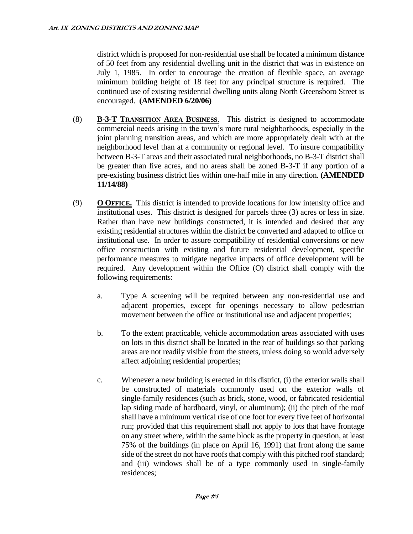district which is proposed for non-residential use shall be located a minimum distance of 50 feet from any residential dwelling unit in the district that was in existence on July 1, 1985. In order to encourage the creation of flexible space, an average minimum building height of 18 feet for any principal structure is required. The continued use of existing residential dwelling units along North Greensboro Street is encouraged. **(AMENDED 6/20/06)**

- (8) **B-3-T TRANSITION AREA BUSINESS**. This district is designed to accommodate commercial needs arising in the town's more rural neighborhoods, especially in the joint planning transition areas, and which are more appropriately dealt with at the neighborhood level than at a community or regional level. To insure compatibility between B-3-T areas and their associated rural neighborhoods, no B-3-T district shall be greater than five acres, and no areas shall be zoned B-3-T if any portion of a pre-existing business district lies within one-half mile in any direction. **(AMENDED 11/14/88)**
- (9) **O OFFICE.** This district is intended to provide locations for low intensity office and institutional uses. This district is designed for parcels three (3) acres or less in size. Rather than have new buildings constructed, it is intended and desired that any existing residential structures within the district be converted and adapted to office or institutional use. In order to assure compatibility of residential conversions or new office construction with existing and future residential development, specific performance measures to mitigate negative impacts of office development will be required. Any development within the Office (O) district shall comply with the following requirements:
	- a. Type A screening will be required between any non-residential use and adjacent properties, except for openings necessary to allow pedestrian movement between the office or institutional use and adjacent properties;
	- b. To the extent practicable, vehicle accommodation areas associated with uses on lots in this district shall be located in the rear of buildings so that parking areas are not readily visible from the streets, unless doing so would adversely affect adjoining residential properties;
	- c. Whenever a new building is erected in this district, (i) the exterior walls shall be constructed of materials commonly used on the exterior walls of single-family residences (such as brick, stone, wood, or fabricated residential lap siding made of hardboard, vinyl, or aluminum); (ii) the pitch of the roof shall have a minimum vertical rise of one foot for every five feet of horizontal run; provided that this requirement shall not apply to lots that have frontage on any street where, within the same block as the property in question, at least 75% of the buildings (in place on April 16, 1991) that front along the same side of the street do not have roofs that comply with this pitched roof standard; and (iii) windows shall be of a type commonly used in single-family residences;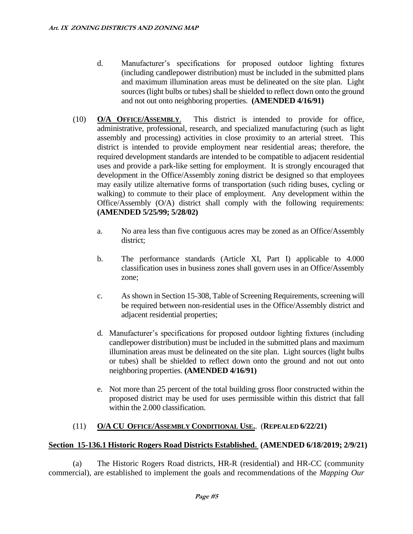- d. Manufacturer's specifications for proposed outdoor lighting fixtures (including candlepower distribution) must be included in the submitted plans and maximum illumination areas must be delineated on the site plan. Light sources (light bulbs or tubes) shall be shielded to reflect down onto the ground and not out onto neighboring properties. **(AMENDED 4/16/91)**
- (10) **O/A OFFICE/ASSEMBLY**. This district is intended to provide for office, administrative, professional, research, and specialized manufacturing (such as light assembly and processing) activities in close proximity to an arterial street. This district is intended to provide employment near residential areas; therefore, the required development standards are intended to be compatible to adjacent residential uses and provide a park-like setting for employment. It is strongly encouraged that development in the Office/Assembly zoning district be designed so that employees may easily utilize alternative forms of transportation (such riding buses, cycling or walking) to commute to their place of employment. Any development within the Office/Assembly (O/A) district shall comply with the following requirements: **(AMENDED 5/25/99; 5/28/02)**
	- a. No area less than five contiguous acres may be zoned as an Office/Assembly district;
	- b. The performance standards (Article XI, Part I) applicable to 4.000 classification uses in business zones shall govern uses in an Office/Assembly zone;
	- c. As shown in Section 15-308, Table of Screening Requirements, screening will be required between non-residential uses in the Office/Assembly district and adjacent residential properties;
	- d. Manufacturer's specifications for proposed outdoor lighting fixtures (including candlepower distribution) must be included in the submitted plans and maximum illumination areas must be delineated on the site plan. Light sources (light bulbs or tubes) shall be shielded to reflect down onto the ground and not out onto neighboring properties. **(AMENDED 4/16/91)**
	- e. Not more than 25 percent of the total building gross floor constructed within the proposed district may be used for uses permissible within this district that fall within the 2.000 classification.

# (11) **O/A CU OFFICE/ASSEMBLY CONDITIONAL USE.**. (**REPEALED 6/22/21)**

#### **Section 15-136.1 Historic Rogers Road Districts Established. (AMENDED 6/18/2019; 2/9/21)**

(a) The Historic Rogers Road districts, HR-R (residential) and HR-CC (community commercial), are established to implement the goals and recommendations of the *Mapping Our*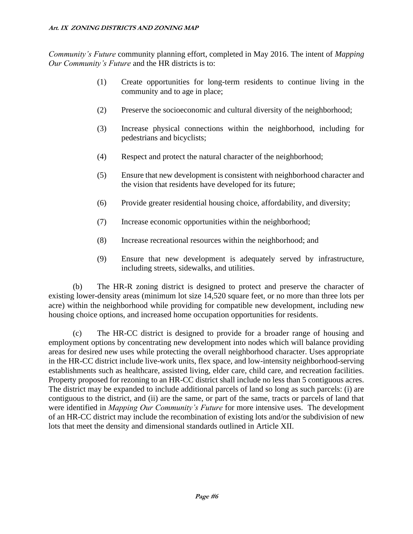*Community's Future* community planning effort, completed in May 2016. The intent of *Mapping Our Community's Future* and the HR districts is to:

- (1) Create opportunities for long-term residents to continue living in the community and to age in place;
- (2) Preserve the socioeconomic and cultural diversity of the neighborhood;
- (3) Increase physical connections within the neighborhood, including for pedestrians and bicyclists;
- (4) Respect and protect the natural character of the neighborhood;
- (5) Ensure that new development is consistent with neighborhood character and the vision that residents have developed for its future;
- (6) Provide greater residential housing choice, affordability, and diversity;
- (7) Increase economic opportunities within the neighborhood;
- (8) Increase recreational resources within the neighborhood; and
- (9) Ensure that new development is adequately served by infrastructure, including streets, sidewalks, and utilities.

(b) The HR-R zoning district is designed to protect and preserve the character of existing lower-density areas (minimum lot size 14,520 square feet, or no more than three lots per acre) within the neighborhood while providing for compatible new development, including new housing choice options, and increased home occupation opportunities for residents.

(c) The HR-CC district is designed to provide for a broader range of housing and employment options by concentrating new development into nodes which will balance providing areas for desired new uses while protecting the overall neighborhood character. Uses appropriate in the HR-CC district include live-work units, flex space, and low-intensity neighborhood-serving establishments such as healthcare, assisted living, elder care, child care, and recreation facilities. Property proposed for rezoning to an HR-CC district shall include no less than 5 contiguous acres. The district may be expanded to include additional parcels of land so long as such parcels: (i) are contiguous to the district, and (ii) are the same, or part of the same, tracts or parcels of land that were identified in *Mapping Our Community's Future* for more intensive uses. The development of an HR-CC district may include the recombination of existing lots and/or the subdivision of new lots that meet the density and dimensional standards outlined in Article XII.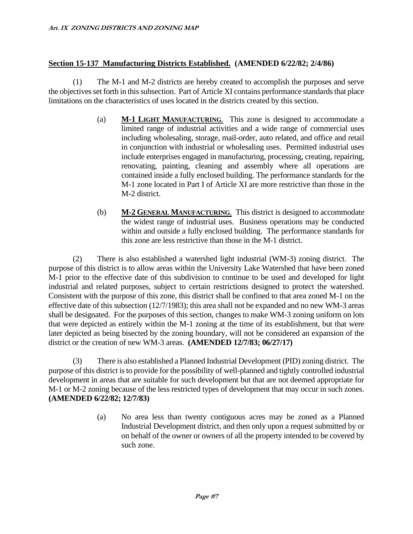# **Section 15-137 Manufacturing Districts Established. (AMENDED 6/22/82; 2/4/86)**

(1) The M-1 and M-2 districts are hereby created to accomplish the purposes and serve the objectives set forth in this subsection. Part of Article XI contains performance standards that place limitations on the characteristics of uses located in the districts created by this section.

- (a) **M-1 LIGHT MANUFACTURING**. This zone is designed to accommodate a limited range of industrial activities and a wide range of commercial uses including wholesaling, storage, mail-order, auto related, and office and retail in conjunction with industrial or wholesaling uses. Permitted industrial uses include enterprises engaged in manufacturing, processing, creating, repairing, renovating, painting, cleaning and assembly where all operations are contained inside a fully enclosed building. The performance standards for the M-1 zone located in Part I of Article XI are more restrictive than those in the M-2 district.
- (b) **M-2 GENERAL MANUFACTURING**. This district is designed to accommodate the widest range of industrial uses. Business operations may be conducted within and outside a fully enclosed building. The performance standards for this zone are less restrictive than those in the M-1 district.

(2) There is also established a watershed light industrial (WM-3) zoning district. The purpose of this district is to allow areas within the University Lake Watershed that have been zoned M-1 prior to the effective date of this subdivision to continue to be used and developed for light industrial and related purposes, subject to certain restrictions designed to protect the watershed. Consistent with the purpose of this zone, this district shall be confined to that area zoned M-1 on the effective date of this subsection (12/7/1983); this area shall not be expanded and no new WM-3 areas shall be designated. For the purposes of this section, changes to make WM-3 zoning uniform on lots that were depicted as entirely within the M-1 zoning at the time of its establishment, but that were later depicted as being bisected by the zoning boundary, will not be considered an expansion of the district or the creation of new WM-3 areas. **(AMENDED 12/7/83; 06/27/17)**

(3) There is also established a Planned Industrial Development (PID) zoning district. The purpose of this district is to provide for the possibility of well-planned and tightly controlled industrial development in areas that are suitable for such development but that are not deemed appropriate for M-1 or M-2 zoning because of the less restricted types of development that may occur in such zones. **(AMENDED 6/22/82; 12/7/83)**

> (a) No area less than twenty contiguous acres may be zoned as a Planned Industrial Development district, and then only upon a request submitted by or on behalf of the owner or owners of all the property intended to be covered by such zone.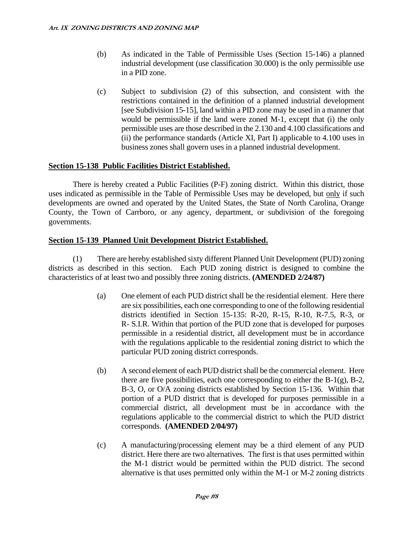- (b) As indicated in the Table of Permissible Uses (Section 15-146) a planned industrial development (use classification 30.000) is the only permissible use in a PID zone.
- (c) Subject to subdivision (2) of this subsection, and consistent with the restrictions contained in the definition of a planned industrial development [see Subdivision 15-15], land within a PID zone may be used in a manner that would be permissible if the land were zoned M-1, except that (i) the only permissible uses are those described in the 2.130 and 4.100 classifications and (ii) the performance standards (Article XI, Part I) applicable to 4.100 uses in business zones shall govern uses in a planned industrial development.

# **Section 15-138 Public Facilities District Established.**

There is hereby created a Public Facilities (P-F) zoning district. Within this district, those uses indicated as permissible in the Table of Permissible Uses may be developed, but only if such developments are owned and operated by the United States, the State of North Carolina, Orange County, the Town of Carrboro, or any agency, department, or subdivision of the foregoing governments.

#### **Section 15-139 Planned Unit Development District Established.**

(1) There are hereby established sixty different Planned Unit Development (PUD) zoning districts as described in this section. Each PUD zoning district is designed to combine the characteristics of at least two and possibly three zoning districts. **(AMENDED 2/24/87)**

- (a) One element of each PUD district shall be the residential element. Here there are six possibilities, each one corresponding to one of the following residential districts identified in Section 15-135: R-20, R-15, R-10, R-7.5, R-3, or R- S.I.R. Within that portion of the PUD zone that is developed for purposes permissible in a residential district, all development must be in accordance with the regulations applicable to the residential zoning district to which the particular PUD zoning district corresponds.
- (b) A second element of each PUD district shall be the commercial element. Here there are five possibilities, each one corresponding to either the  $B-1(g)$ ,  $B-2$ , B-3, O, or O/A zoning districts established by Section 15-136. Within that portion of a PUD district that is developed for purposes permissible in a commercial district, all development must be in accordance with the regulations applicable to the commercial district to which the PUD district corresponds. **(AMENDED 2/04/97)**
- (c) A manufacturing/processing element may be a third element of any PUD district. Here there are two alternatives. The first is that uses permitted within the M-1 district would be permitted within the PUD district. The second alternative is that uses permitted only within the M-1 or M-2 zoning districts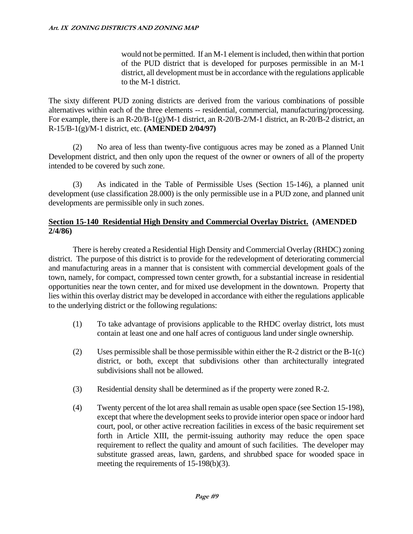would not be permitted. If an M-1 element is included, then within that portion of the PUD district that is developed for purposes permissible in an M-1 district, all development must be in accordance with the regulations applicable to the M-1 district.

The sixty different PUD zoning districts are derived from the various combinations of possible alternatives within each of the three elements -- residential, commercial, manufacturing/processing. For example, there is an R-20/B-1(g)/M-1 district, an R-20/B-2/M-1 district, an R-20/B-2 district, an R-15/B-1(g)/M-1 district, etc. **(AMENDED 2/04/97)**

(2) No area of less than twenty-five contiguous acres may be zoned as a Planned Unit Development district, and then only upon the request of the owner or owners of all of the property intended to be covered by such zone.

(3) As indicated in the Table of Permissible Uses (Section 15-146), a planned unit development (use classification 28.000) is the only permissible use in a PUD zone, and planned unit developments are permissible only in such zones.

#### **Section 15-140 Residential High Density and Commercial Overlay District. (AMENDED 2/4/86)**

There is hereby created a Residential High Density and Commercial Overlay (RHDC) zoning district. The purpose of this district is to provide for the redevelopment of deteriorating commercial and manufacturing areas in a manner that is consistent with commercial development goals of the town, namely, for compact, compressed town center growth, for a substantial increase in residential opportunities near the town center, and for mixed use development in the downtown. Property that lies within this overlay district may be developed in accordance with either the regulations applicable to the underlying district or the following regulations:

- (1) To take advantage of provisions applicable to the RHDC overlay district, lots must contain at least one and one half acres of contiguous land under single ownership.
- (2) Uses permissible shall be those permissible within either the R-2 district or the B-1(c) district, or both, except that subdivisions other than architecturally integrated subdivisions shall not be allowed.
- (3) Residential density shall be determined as if the property were zoned R-2.
- (4) Twenty percent of the lot area shall remain as usable open space (see Section 15-198), except that where the development seeks to provide interior open space or indoor hard court, pool, or other active recreation facilities in excess of the basic requirement set forth in Article XIII, the permit-issuing authority may reduce the open space requirement to reflect the quality and amount of such facilities. The developer may substitute grassed areas, lawn, gardens, and shrubbed space for wooded space in meeting the requirements of 15-198(b)(3).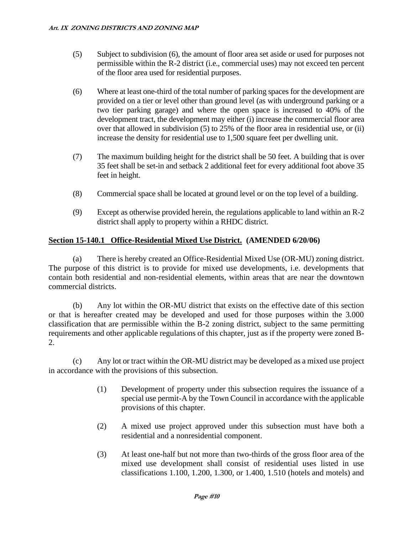- (5) Subject to subdivision (6), the amount of floor area set aside or used for purposes not permissible within the R-2 district (i.e., commercial uses) may not exceed ten percent of the floor area used for residential purposes.
- (6) Where at least one-third of the total number of parking spaces for the development are provided on a tier or level other than ground level (as with underground parking or a two tier parking garage) and where the open space is increased to 40% of the development tract, the development may either (i) increase the commercial floor area over that allowed in subdivision (5) to 25% of the floor area in residential use, or (ii) increase the density for residential use to 1,500 square feet per dwelling unit.
- (7) The maximum building height for the district shall be 50 feet. A building that is over 35 feet shall be set-in and setback 2 additional feet for every additional foot above 35 feet in height.
- (8) Commercial space shall be located at ground level or on the top level of a building.
- (9) Except as otherwise provided herein, the regulations applicable to land within an R-2 district shall apply to property within a RHDC district.

# **Section 15-140.1 Office-Residential Mixed Use District. (AMENDED 6/20/06)**

(a) There is hereby created an Office-Residential Mixed Use (OR-MU) zoning district. The purpose of this district is to provide for mixed use developments, i.e. developments that contain both residential and non-residential elements, within areas that are near the downtown commercial districts.

(b) Any lot within the OR-MU district that exists on the effective date of this section or that is hereafter created may be developed and used for those purposes within the 3.000 classification that are permissible within the B-2 zoning district, subject to the same permitting requirements and other applicable regulations of this chapter, just as if the property were zoned B-2.

(c) Any lot or tract within the OR-MU district may be developed as a mixed use project in accordance with the provisions of this subsection.

- (1) Development of property under this subsection requires the issuance of a special use permit-A by the Town Council in accordance with the applicable provisions of this chapter.
- (2) A mixed use project approved under this subsection must have both a residential and a nonresidential component.
- (3) At least one-half but not more than two-thirds of the gross floor area of the mixed use development shall consist of residential uses listed in use classifications 1.100, 1.200, 1.300, or 1.400, 1.510 (hotels and motels) and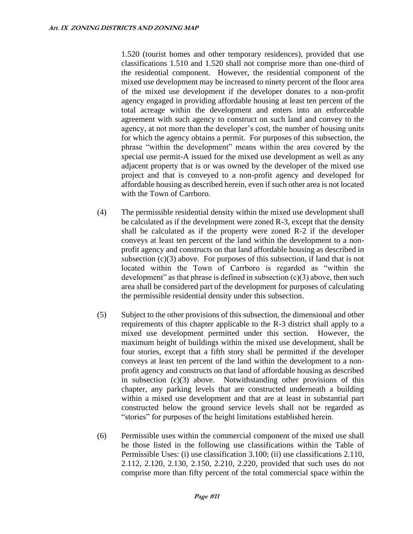1.520 (tourist homes and other temporary residences), provided that use classifications 1.510 and 1.520 shall not comprise more than one-third of the residential component. However, the residential component of the mixed use development may be increased to ninety percent of the floor area of the mixed use development if the developer donates to a non-profit agency engaged in providing affordable housing at least ten percent of the total acreage within the development and enters into an enforceable agreement with such agency to construct on such land and convey to the agency, at not more than the developer's cost, the number of housing units for which the agency obtains a permit. For purposes of this subsection, the phrase "within the development" means within the area covered by the special use permit-A issued for the mixed use development as well as any adjacent property that is or was owned by the developer of the mixed use project and that is conveyed to a non-profit agency and developed for affordable housing as described herein, even if such other area is not located with the Town of Carrboro.

- (4) The permissible residential density within the mixed use development shall be calculated as if the development were zoned R-3, except that the density shall be calculated as if the property were zoned R-2 if the developer conveys at least ten percent of the land within the development to a nonprofit agency and constructs on that land affordable housing as described in subsection  $(c)(3)$  above. For purposes of this subsection, if land that is not located within the Town of Carrboro is regarded as "within the development" as that phrase is defined in subsection  $(c)(3)$  above, then such area shall be considered part of the development for purposes of calculating the permissible residential density under this subsection.
- (5) Subject to the other provisions of this subsection, the dimensional and other requirements of this chapter applicable to the R-3 district shall apply to a mixed use development permitted under this section. However, the maximum height of buildings within the mixed use development, shall be four stories, except that a fifth story shall be permitted if the developer conveys at least ten percent of the land within the development to a nonprofit agency and constructs on that land of affordable housing as described in subsection (c)(3) above. Notwithstanding other provisions of this chapter, any parking levels that are constructed underneath a building within a mixed use development and that are at least in substantial part constructed below the ground service levels shall not be regarded as "stories" for purposes of the height limitations established herein.
- (6) Permissible uses within the commercial component of the mixed use shall be those listed in the following use classifications within the Table of Permissible Uses: (i) use classification 3.100; (ii) use classifications 2.110, 2.112, 2.120, 2.130, 2.150, 2.210, 2.220, provided that such uses do not comprise more than fifty percent of the total commercial space within the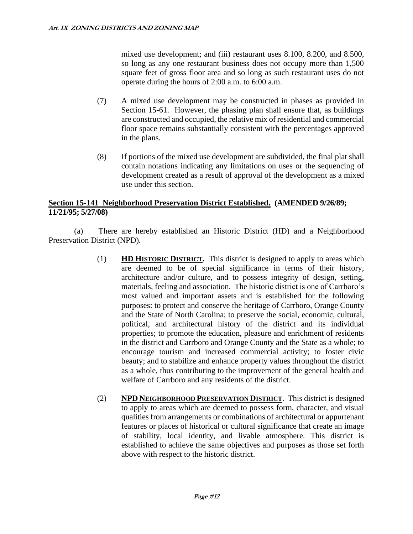mixed use development; and (iii) restaurant uses 8.100, 8.200, and 8.500, so long as any one restaurant business does not occupy more than 1,500 square feet of gross floor area and so long as such restaurant uses do not operate during the hours of 2:00 a.m. to 6:00 a.m.

- (7) A mixed use development may be constructed in phases as provided in Section 15-61. However, the phasing plan shall ensure that, as buildings are constructed and occupied, the relative mix of residential and commercial floor space remains substantially consistent with the percentages approved in the plans.
- (8) If portions of the mixed use development are subdivided, the final plat shall contain notations indicating any limitations on uses or the sequencing of development created as a result of approval of the development as a mixed use under this section.

#### **Section 15-141 Neighborhood Preservation District Established. (AMENDED 9/26/89; 11/21/95; 5/27/08)**

(a) There are hereby established an Historic District (HD) and a Neighborhood Preservation District (NPD).

- (1) **HD HISTORIC DISTRICT.** This district is designed to apply to areas which are deemed to be of special significance in terms of their history, architecture and/or culture, and to possess integrity of design, setting, materials, feeling and association. The historic district is one of Carrboro's most valued and important assets and is established for the following purposes: to protect and conserve the heritage of Carrboro, Orange County and the State of North Carolina; to preserve the social, economic, cultural, political, and architectural history of the district and its individual properties; to promote the education, pleasure and enrichment of residents in the district and Carrboro and Orange County and the State as a whole; to encourage tourism and increased commercial activity; to foster civic beauty; and to stabilize and enhance property values throughout the district as a whole, thus contributing to the improvement of the general health and welfare of Carrboro and any residents of the district.
- (2) **NPD NEIGHBORHOOD PRESERVATION DISTRICT**. This district is designed to apply to areas which are deemed to possess form, character, and visual qualities from arrangements or combinations of architectural or appurtenant features or places of historical or cultural significance that create an image of stability, local identity, and livable atmosphere. This district is established to achieve the same objectives and purposes as those set forth above with respect to the historic district.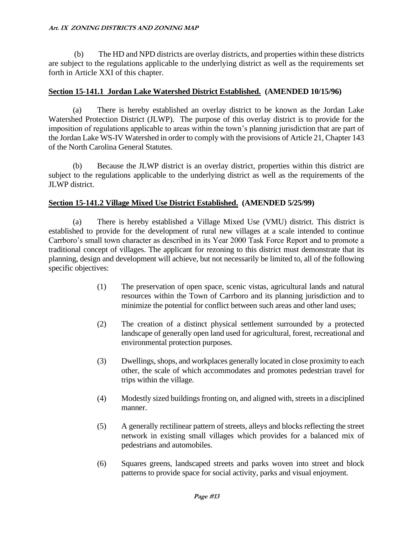(b) The HD and NPD districts are overlay districts, and properties within these districts are subject to the regulations applicable to the underlying district as well as the requirements set forth in Article XXI of this chapter.

# **Section 15-141.1 Jordan Lake Watershed District Established. (AMENDED 10/15/96)**

(a) There is hereby established an overlay district to be known as the Jordan Lake Watershed Protection District (JLWP). The purpose of this overlay district is to provide for the imposition of regulations applicable to areas within the town's planning jurisdiction that are part of the Jordan Lake WS-IV Watershed in order to comply with the provisions of Article 21, Chapter 143 of the North Carolina General Statutes.

(b) Because the JLWP district is an overlay district, properties within this district are subject to the regulations applicable to the underlying district as well as the requirements of the JLWP district.

# **Section 15-141.2 Village Mixed Use District Established. (AMENDED 5/25/99)**

(a) There is hereby established a Village Mixed Use (VMU) district. This district is established to provide for the development of rural new villages at a scale intended to continue Carrboro's small town character as described in its Year 2000 Task Force Report and to promote a traditional concept of villages. The applicant for rezoning to this district must demonstrate that its planning, design and development will achieve, but not necessarily be limited to, all of the following specific objectives:

- (1) The preservation of open space, scenic vistas, agricultural lands and natural resources within the Town of Carrboro and its planning jurisdiction and to minimize the potential for conflict between such areas and other land uses;
- (2) The creation of a distinct physical settlement surrounded by a protected landscape of generally open land used for agricultural, forest, recreational and environmental protection purposes.
- (3) Dwellings, shops, and workplaces generally located in close proximity to each other, the scale of which accommodates and promotes pedestrian travel for trips within the village.
- (4) Modestly sized buildings fronting on, and aligned with, streets in a disciplined manner.
- (5) A generally rectilinear pattern of streets, alleys and blocks reflecting the street network in existing small villages which provides for a balanced mix of pedestrians and automobiles.
- (6) Squares greens, landscaped streets and parks woven into street and block patterns to provide space for social activity, parks and visual enjoyment.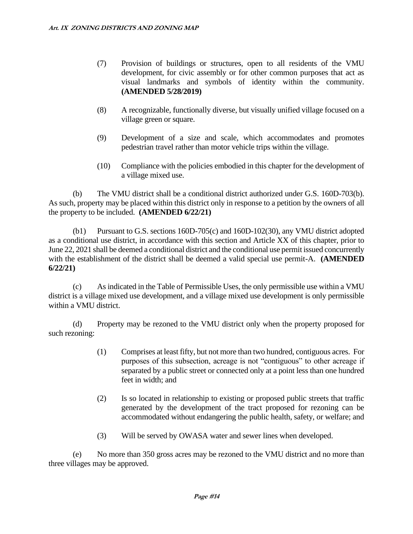- (7) Provision of buildings or structures, open to all residents of the VMU development, for civic assembly or for other common purposes that act as visual landmarks and symbols of identity within the community. **(AMENDED 5/28/2019)**
- (8) A recognizable, functionally diverse, but visually unified village focused on a village green or square.
- (9) Development of a size and scale, which accommodates and promotes pedestrian travel rather than motor vehicle trips within the village.
- (10) Compliance with the policies embodied in this chapter for the development of a village mixed use.

(b) The VMU district shall be a conditional district authorized under G.S. 160D-703(b). As such, property may be placed within this district only in response to a petition by the owners of all the property to be included. **(AMENDED 6/22/21)**

(b1) Pursuant to G.S. sections 160D-705(c) and 160D-102(30), any VMU district adopted as a conditional use district, in accordance with this section and Article XX of this chapter, prior to June 22, 2021 shall be deemed a conditional district and the conditional use permit issued concurrently with the establishment of the district shall be deemed a valid special use permit-A. **(AMENDED 6/22/21)**

(c) As indicated in the Table of Permissible Uses, the only permissible use within a VMU district is a village mixed use development, and a village mixed use development is only permissible within a VMU district.

(d) Property may be rezoned to the VMU district only when the property proposed for such rezoning:

- (1) Comprises at least fifty, but not more than two hundred, contiguous acres. For purposes of this subsection, acreage is not "contiguous" to other acreage if separated by a public street or connected only at a point less than one hundred feet in width; and
- (2) Is so located in relationship to existing or proposed public streets that traffic generated by the development of the tract proposed for rezoning can be accommodated without endangering the public health, safety, or welfare; and
- (3) Will be served by OWASA water and sewer lines when developed.

(e) No more than 350 gross acres may be rezoned to the VMU district and no more than three villages may be approved.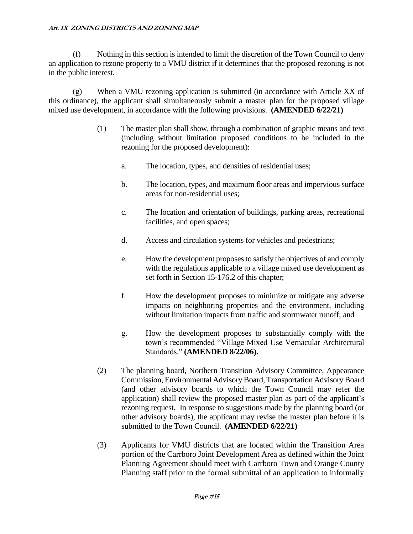(f) Nothing in this section is intended to limit the discretion of the Town Council to deny an application to rezone property to a VMU district if it determines that the proposed rezoning is not in the public interest.

(g) When a VMU rezoning application is submitted (in accordance with Article XX of this ordinance), the applicant shall simultaneously submit a master plan for the proposed village mixed use development, in accordance with the following provisions. **(AMENDED 6/22/21)**

- (1) The master plan shall show, through a combination of graphic means and text (including without limitation proposed conditions to be included in the rezoning for the proposed development):
	- a. The location, types, and densities of residential uses;
	- b. The location, types, and maximum floor areas and impervious surface areas for non-residential uses;
	- c. The location and orientation of buildings, parking areas, recreational facilities, and open spaces;
	- d. Access and circulation systems for vehicles and pedestrians;
	- e. How the development proposes to satisfy the objectives of and comply with the regulations applicable to a village mixed use development as set forth in Section 15-176.2 of this chapter;
	- f. How the development proposes to minimize or mitigate any adverse impacts on neighboring properties and the environment, including without limitation impacts from traffic and stormwater runoff; and
	- g. How the development proposes to substantially comply with the town's recommended "Village Mixed Use Vernacular Architectural Standards." **(AMENDED 8/22/06).**
- (2) The planning board, Northern Transition Advisory Committee, Appearance Commission, Environmental Advisory Board, Transportation Advisory Board (and other advisory boards to which the Town Council may refer the application) shall review the proposed master plan as part of the applicant's rezoning request. In response to suggestions made by the planning board (or other advisory boards), the applicant may revise the master plan before it is submitted to the Town Council. **(AMENDED 6/22/21)**
- (3) Applicants for VMU districts that are located within the Transition Area portion of the Carrboro Joint Development Area as defined within the Joint Planning Agreement should meet with Carrboro Town and Orange County Planning staff prior to the formal submittal of an application to informally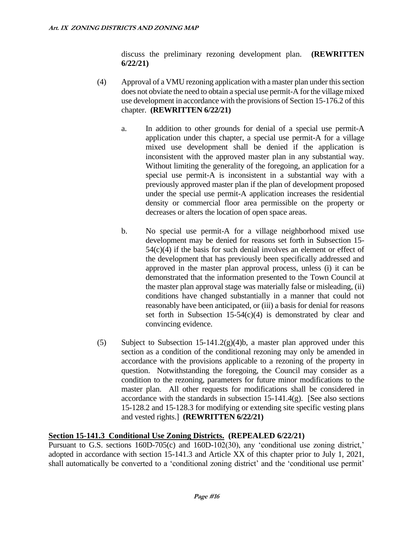discuss the preliminary rezoning development plan. **(REWRITTEN 6/22/21)**

- (4) Approval of a VMU rezoning application with a master plan under this section does not obviate the need to obtain a special use permit-A for the village mixed use development in accordance with the provisions of Section 15-176.2 of this chapter. **(REWRITTEN 6/22/21)**
	- a. In addition to other grounds for denial of a special use permit-A application under this chapter, a special use permit-A for a village mixed use development shall be denied if the application is inconsistent with the approved master plan in any substantial way. Without limiting the generality of the foregoing, an application for a special use permit-A is inconsistent in a substantial way with a previously approved master plan if the plan of development proposed under the special use permit-A application increases the residential density or commercial floor area permissible on the property or decreases or alters the location of open space areas.
	- b. No special use permit-A for a village neighborhood mixed use development may be denied for reasons set forth in Subsection 15- 54(c)(4) if the basis for such denial involves an element or effect of the development that has previously been specifically addressed and approved in the master plan approval process, unless (i) it can be demonstrated that the information presented to the Town Council at the master plan approval stage was materially false or misleading, (ii) conditions have changed substantially in a manner that could not reasonably have been anticipated, or (iii) a basis for denial for reasons set forth in Subsection  $15-54(c)(4)$  is demonstrated by clear and convincing evidence.
- (5) Subject to Subsection 15-141.2(g)(4)b, a master plan approved under this section as a condition of the conditional rezoning may only be amended in accordance with the provisions applicable to a rezoning of the property in question. Notwithstanding the foregoing, the Council may consider as a condition to the rezoning, parameters for future minor modifications to the master plan. All other requests for modifications shall be considered in accordance with the standards in subsection  $15-141.4(g)$ . [See also sections 15-128.2 and 15-128.3 for modifying or extending site specific vesting plans and vested rights.] **(REWRITTEN 6/22/21)**

# **Section 15-141.3 Conditional Use Zoning Districts. (REPEALED 6/22/21)**

Pursuant to G.S. sections 160D-705(c) and 160D-102(30), any 'conditional use zoning district,' adopted in accordance with section 15-141.3 and Article XX of this chapter prior to July 1, 2021, shall automatically be converted to a 'conditional zoning district' and the 'conditional use permit'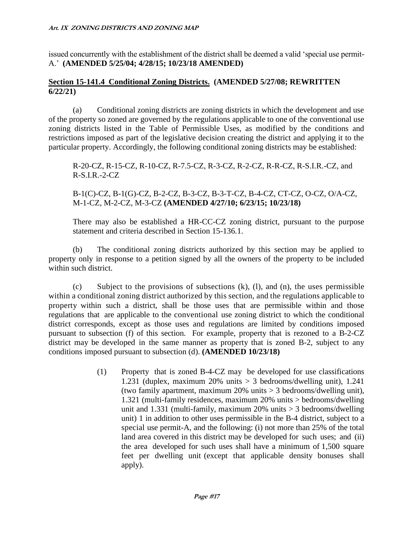issued concurrently with the establishment of the district shall be deemed a valid 'special use permit-A.' **(AMENDED 5/25/04; 4/28/15; 10/23/18 AMENDED)**

#### **Section 15-141.4 Conditional Zoning Districts. (AMENDED 5/27/08; REWRITTEN 6/22/21)**

(a) Conditional zoning districts are zoning districts in which the development and use of the property so zoned are governed by the regulations applicable to one of the conventional use zoning districts listed in the Table of Permissible Uses, as modified by the conditions and restrictions imposed as part of the legislative decision creating the district and applying it to the particular property. Accordingly, the following conditional zoning districts may be established:

R-20-CZ, R-15-CZ, R-10-CZ, R-7.5-CZ, R-3-CZ, R-2-CZ, R-R-CZ, R-S.I.R.-CZ, and R-S.I.R.-2-CZ

# B-1(C)-CZ, B-1(G)-CZ, B-2-CZ, B-3-CZ, B-3-T-CZ, B-4-CZ, CT-CZ, O-CZ, O/A-CZ, M-1-CZ, M-2-CZ, M-3-CZ **(AMENDED 4/27/10; 6/23/15; 10/23/18)**

There may also be established a HR-CC-CZ zoning district, pursuant to the purpose statement and criteria described in Section 15-136.1.

(b) The conditional zoning districts authorized by this section may be applied to property only in response to a petition signed by all the owners of the property to be included within such district.

(c) Subject to the provisions of subsections (k), (l), and (n), the uses permissible within a conditional zoning district authorized by this section, and the regulations applicable to property within such a district, shall be those uses that are permissible within and those regulations that are applicable to the conventional use zoning district to which the conditional district corresponds, except as those uses and regulations are limited by conditions imposed pursuant to subsection (f) of this section. For example, property that is rezoned to a B-2-CZ district may be developed in the same manner as property that is zoned B-2, subject to any conditions imposed pursuant to subsection (d). **(AMENDED 10/23/18)**

> (1) Property that is zoned B-4-CZ may be developed for use classifications 1.231 (duplex, maximum 20% units > 3 bedrooms/dwelling unit), 1.241 (two family apartment, maximum 20% units > 3 bedrooms/dwelling unit), 1.321 (multi-family residences, maximum 20% units > bedrooms/dwelling unit and 1.331 (multi-family, maximum  $20\%$  units  $> 3$  bedrooms/dwelling unit) 1 in addition to other uses permissible in the B-4 district, subject to a special use permit-A, and the following: (i) not more than 25% of the total land area covered in this district may be developed for such uses; and (ii) the area developed for such uses shall have a minimum of 1,500 square feet per dwelling unit (except that applicable density bonuses shall apply).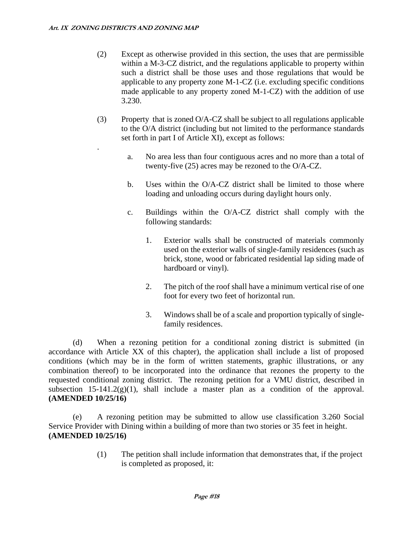.

- (2) Except as otherwise provided in this section, the uses that are permissible within a M-3-CZ district, and the regulations applicable to property within such a district shall be those uses and those regulations that would be applicable to any property zone M-1-CZ (i.e. excluding specific conditions made applicable to any property zoned M-1-CZ) with the addition of use 3.230.
- (3) Property that is zoned O/A-CZ shall be subject to all regulations applicable to the O/A district (including but not limited to the performance standards set forth in part I of Article XI), except as follows:
	- a. No area less than four contiguous acres and no more than a total of twenty-five (25) acres may be rezoned to the O/A-CZ.
	- b. Uses within the O/A-CZ district shall be limited to those where loading and unloading occurs during daylight hours only.
	- c. Buildings within the O/A-CZ district shall comply with the following standards:
		- 1. Exterior walls shall be constructed of materials commonly used on the exterior walls of single-family residences (such as brick, stone, wood or fabricated residential lap siding made of hardboard or vinyl).
		- 2. The pitch of the roof shall have a minimum vertical rise of one foot for every two feet of horizontal run.
		- 3. Windows shall be of a scale and proportion typically of singlefamily residences.

(d) When a rezoning petition for a conditional zoning district is submitted (in accordance with Article XX of this chapter), the application shall include a list of proposed conditions (which may be in the form of written statements, graphic illustrations, or any combination thereof) to be incorporated into the ordinance that rezones the property to the requested conditional zoning district. The rezoning petition for a VMU district, described in subsection 15-141.2(g)(1), shall include a master plan as a condition of the approval. **(AMENDED 10/25/16)**

(e) A rezoning petition may be submitted to allow use classification 3.260 Social Service Provider with Dining within a building of more than two stories or 35 feet in height. **(AMENDED 10/25/16)**

> (1) The petition shall include information that demonstrates that, if the project is completed as proposed, it: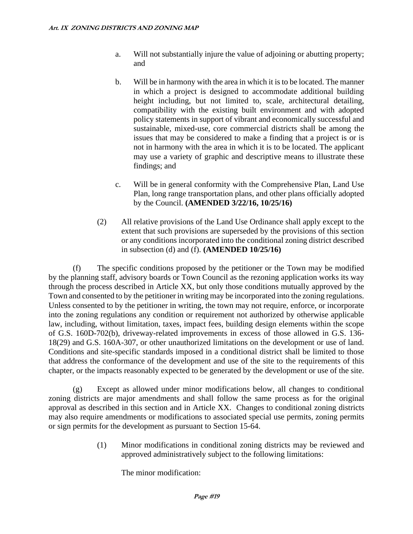- a. Will not substantially injure the value of adjoining or abutting property; and
- b. Will be in harmony with the area in which it is to be located. The manner in which a project is designed to accommodate additional building height including, but not limited to, scale, architectural detailing, compatibility with the existing built environment and with adopted policy statements in support of vibrant and economically successful and sustainable, mixed-use, core commercial districts shall be among the issues that may be considered to make a finding that a project is or is not in harmony with the area in which it is to be located. The applicant may use a variety of graphic and descriptive means to illustrate these findings; and
- c. Will be in general conformity with the Comprehensive Plan, Land Use Plan, long range transportation plans, and other plans officially adopted by the Council. **(AMENDED 3/22/16, 10/25/16)**
- (2) All relative provisions of the Land Use Ordinance shall apply except to the extent that such provisions are superseded by the provisions of this section or any conditions incorporated into the conditional zoning district described in subsection (d) and (f). **(AMENDED 10/25/16)**

(f) The specific conditions proposed by the petitioner or the Town may be modified by the planning staff, advisory boards or Town Council as the rezoning application works its way through the process described in Article XX, but only those conditions mutually approved by the Town and consented to by the petitioner in writing may be incorporated into the zoning regulations. Unless consented to by the petitioner in writing, the town may not require, enforce, or incorporate into the zoning regulations any condition or requirement not authorized by otherwise applicable law, including, without limitation, taxes, impact fees, building design elements within the scope of G.S. 160D-702(b), driveway-related improvements in excess of those allowed in G.S. 136- 18(29) and G.S. 160A-307, or other unauthorized limitations on the development or use of land. Conditions and site-specific standards imposed in a conditional district shall be limited to those that address the conformance of the development and use of the site to the requirements of this chapter, or the impacts reasonably expected to be generated by the development or use of the site.

(g) Except as allowed under minor modifications below, all changes to conditional zoning districts are major amendments and shall follow the same process as for the original approval as described in this section and in Article XX. Changes to conditional zoning districts may also require amendments or modifications to associated special use permits, zoning permits or sign permits for the development as pursuant to Section 15-64.

> (1) Minor modifications in conditional zoning districts may be reviewed and approved administratively subject to the following limitations:

The minor modification: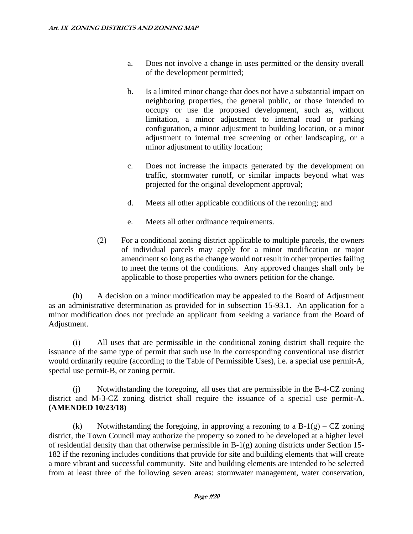- a. Does not involve a change in uses permitted or the density overall of the development permitted;
- b. Is a limited minor change that does not have a substantial impact on neighboring properties, the general public, or those intended to occupy or use the proposed development, such as, without limitation, a minor adjustment to internal road or parking configuration, a minor adjustment to building location, or a minor adjustment to internal tree screening or other landscaping, or a minor adjustment to utility location;
- c. Does not increase the impacts generated by the development on traffic, stormwater runoff, or similar impacts beyond what was projected for the original development approval;
- d. Meets all other applicable conditions of the rezoning; and
- e. Meets all other ordinance requirements.
- (2) For a conditional zoning district applicable to multiple parcels, the owners of individual parcels may apply for a minor modification or major amendment so long as the change would not result in other properties failing to meet the terms of the conditions. Any approved changes shall only be applicable to those properties who owners petition for the change.

(h) A decision on a minor modification may be appealed to the Board of Adjustment as an administrative determination as provided for in subsection 15-93.1. An application for a minor modification does not preclude an applicant from seeking a variance from the Board of Adjustment.

(i) All uses that are permissible in the conditional zoning district shall require the issuance of the same type of permit that such use in the corresponding conventional use district would ordinarily require (according to the Table of Permissible Uses), i.e. a special use permit-A, special use permit-B, or zoning permit.

(j) Notwithstanding the foregoing, all uses that are permissible in the B-4-CZ zoning district and M-3-CZ zoning district shall require the issuance of a special use permit-A. **(AMENDED 10/23/18)**

(k) Notwithstanding the foregoing, in approving a rezoning to a  $B-1(g) - CZ$  zoning district, the Town Council may authorize the property so zoned to be developed at a higher level of residential density than that otherwise permissible in B-1(g) zoning districts under Section 15- 182 if the rezoning includes conditions that provide for site and building elements that will create a more vibrant and successful community. Site and building elements are intended to be selected from at least three of the following seven areas: stormwater management, water conservation,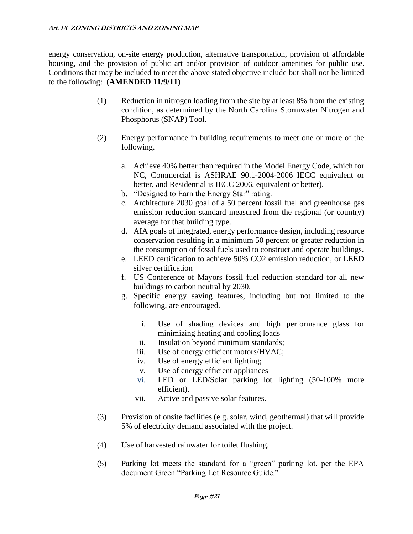energy conservation, on-site energy production, alternative transportation, provision of affordable housing, and the provision of public art and/or provision of outdoor amenities for public use. Conditions that may be included to meet the above stated objective include but shall not be limited to the following: **(AMENDED 11/9/11)**

- (1) Reduction in nitrogen loading from the site by at least 8% from the existing condition, as determined by the North Carolina Stormwater Nitrogen and Phosphorus (SNAP) Tool.
- (2) Energy performance in building requirements to meet one or more of the following.
	- a. Achieve 40% better than required in the Model Energy Code, which for NC, Commercial is ASHRAE 90.1-2004-2006 IECC equivalent or better, and Residential is IECC 2006, equivalent or better).
	- b. "Designed to Earn the Energy Star" rating.
	- c. Architecture 2030 goal of a 50 percent fossil fuel and greenhouse gas emission reduction standard measured from the regional (or country) average for that building type.
	- d. AIA goals of integrated, energy performance design, including resource conservation resulting in a minimum 50 percent or greater reduction in the consumption of fossil fuels used to construct and operate buildings.
	- e. LEED certification to achieve 50% CO2 emission reduction, or LEED silver certification
	- f. US Conference of Mayors fossil fuel reduction standard for all new buildings to carbon neutral by 2030.
	- g. Specific energy saving features, including but not limited to the following, are encouraged.
		- i. Use of shading devices and high performance glass for minimizing heating and cooling loads
		- ii. Insulation beyond minimum standards;
		- iii. Use of energy efficient motors/HVAC;
		- iv. Use of energy efficient lighting;
		- v. Use of energy efficient appliances
		- vi. LED or LED/Solar parking lot lighting (50-100% more efficient).
		- vii. Active and passive solar features.
- (3) Provision of onsite facilities (e.g. solar, wind, geothermal) that will provide 5% of electricity demand associated with the project.
- (4) Use of harvested rainwater for toilet flushing.
- (5) Parking lot meets the standard for a "green" parking lot, per the EPA document Green "Parking Lot Resource Guide."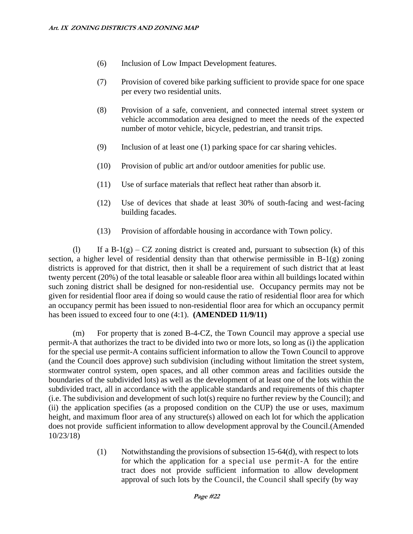- (6) Inclusion of Low Impact Development features.
- (7) Provision of covered bike parking sufficient to provide space for one space per every two residential units.
- (8) Provision of a safe, convenient, and connected internal street system or vehicle accommodation area designed to meet the needs of the expected number of motor vehicle, bicycle, pedestrian, and transit trips.
- (9) Inclusion of at least one (1) parking space for car sharing vehicles.
- (10) Provision of public art and/or outdoor amenities for public use.
- (11) Use of surface materials that reflect heat rather than absorb it.
- (12) Use of devices that shade at least 30% of south-facing and west-facing building facades.
- (13) Provision of affordable housing in accordance with Town policy.

(l) If a B-1(g) – CZ zoning district is created and, pursuant to subsection (k) of this section, a higher level of residential density than that otherwise permissible in B-1(g) zoning districts is approved for that district, then it shall be a requirement of such district that at least twenty percent (20%) of the total leasable or saleable floor area within all buildings located within such zoning district shall be designed for non-residential use. Occupancy permits may not be given for residential floor area if doing so would cause the ratio of residential floor area for which an occupancy permit has been issued to non-residential floor area for which an occupancy permit has been issued to exceed four to one (4:1). **(AMENDED 11/9/11)**

(m) For property that is zoned B-4-CZ, the Town Council may approve a special use permit-A that authorizes the tract to be divided into two or more lots, so long as (i) the application for the special use permit-A contains sufficient information to allow the Town Council to approve (and the Council does approve) such subdivision (including without limitation the street system, stormwater control system, open spaces, and all other common areas and facilities outside the boundaries of the subdivided lots) as well as the development of at least one of the lots within the subdivided tract, all in accordance with the applicable standards and requirements of this chapter (i.e. The subdivision and development of such lot(s) require no further review by the Council); and (ii) the application specifies (as a proposed condition on the CUP) the use or uses, maximum height, and maximum floor area of any structure(s) allowed on each lot for which the application does not provide sufficient information to allow development approval by the Council.(Amended 10/23/18)

> (1) Notwithstanding the provisions of subsection  $15-64(d)$ , with respect to lots for which the application for a special use permit-A for the entire tract does not provide sufficient information to allow development approval of such lots by the Council, the Council shall specify (by way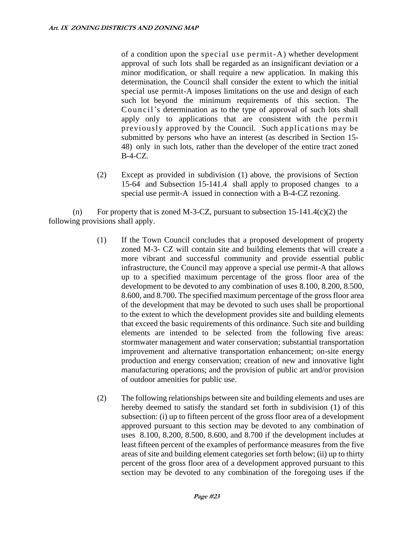of a condition upon the special use permit-A) whether development approval of such lots shall be regarded as an insignificant deviation or a minor modification, or shall require a new application. In making this determination, the Council shall consider the extent to which the initial special use permit-A imposes limitations on the use and design of each such lot beyond the minimum requirements of this section. The Council's determination as to the type of approval of such lots shall apply only to applications that are consistent with the permit previously approved by the Council. Such applications may be submitted by persons who have an interest (as described in Section 15- 48) only in such lots, rather than the developer of the entire tract zoned B-4-CZ.

(2) Except as provided in subdivision (1) above, the provisions of Section 15-64 and Subsection 15-141.4 shall apply to proposed changes to a special use permit-A issued in connection with a B-4-CZ rezoning.

(n) For property that is zoned M-3-CZ, pursuant to subsection  $15{\text -}141.4(c)(2)$  the following provisions shall apply.

- (1) If the Town Council concludes that a proposed development of property zoned M-3- CZ will contain site and building elements that will create a more vibrant and successful community and provide essential public infrastructure, the Council may approve a special use permit-A that allows up to a specified maximum percentage of the gross floor area of the development to be devoted to any combination of uses 8.100, 8.200, 8.500, 8.600, and 8.700. The specified maximum percentage of the gross floor area of the development that may be devoted to such uses shall be proportional to the extent to which the development provides site and building elements that exceed the basic requirements of this ordinance. Such site and building elements are intended to be selected from the following five areas: stormwater management and water conservation; substantial transportation improvement and alternative transportation enhancement; on-site energy production and energy conservation; creation of new and innovative light manufacturing operations; and the provision of public art and/or provision of outdoor amenities for public use.
- (2) The following relationships between site and building elements and uses are hereby deemed to satisfy the standard set forth in subdivision (1) of this subsection: (i) up to fifteen percent of the gross floor area of a development approved pursuant to this section may be devoted to any combination of uses 8.100, 8.200, 8.500, 8.600, and 8.700 if the development includes at least fifteen percent of the examples of performance measures from the five areas of site and building element categories set forth below; (ii) up to thirty percent of the gross floor area of a development approved pursuant to this section may be devoted to any combination of the foregoing uses if the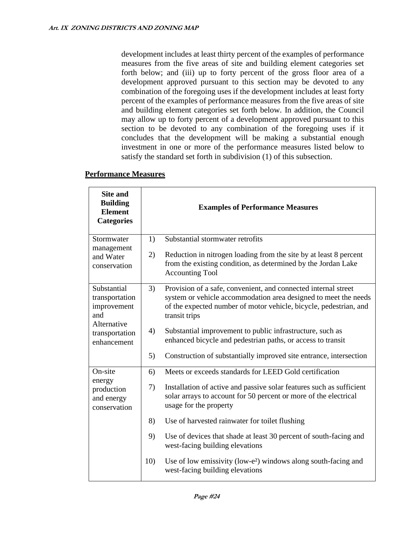development includes at least thirty percent of the examples of performance measures from the five areas of site and building element categories set forth below; and (iii) up to forty percent of the gross floor area of a development approved pursuant to this section may be devoted to any combination of the foregoing uses if the development includes at least forty percent of the examples of performance measures from the five areas of site and building element categories set forth below. In addition, the Council may allow up to forty percent of a development approved pursuant to this section to be devoted to any combination of the foregoing uses if it concludes that the development will be making a substantial enough investment in one or more of the performance measures listed below to satisfy the standard set forth in subdivision (1) of this subsection.

| <b>Site and</b><br><b>Building</b><br><b>Element</b><br><b>Categories</b>                           |     | <b>Examples of Performance Measures</b>                                                                                                                                                                                 |
|-----------------------------------------------------------------------------------------------------|-----|-------------------------------------------------------------------------------------------------------------------------------------------------------------------------------------------------------------------------|
| Stormwater<br>management<br>and Water<br>conservation                                               | 1)  | Substantial stormwater retrofits                                                                                                                                                                                        |
|                                                                                                     | 2)  | Reduction in nitrogen loading from the site by at least 8 percent<br>from the existing condition, as determined by the Jordan Lake<br><b>Accounting Tool</b>                                                            |
| Substantial<br>transportation<br>improvement<br>and<br>Alternative<br>transportation<br>enhancement | 3)  | Provision of a safe, convenient, and connected internal street<br>system or vehicle accommodation area designed to meet the needs<br>of the expected number of motor vehicle, bicycle, pedestrian, and<br>transit trips |
|                                                                                                     | 4)  | Substantial improvement to public infrastructure, such as<br>enhanced bicycle and pedestrian paths, or access to transit                                                                                                |
|                                                                                                     | 5)  | Construction of substantially improved site entrance, intersection                                                                                                                                                      |
| On-site<br>energy<br>production<br>and energy<br>conservation                                       | 6)  | Meets or exceeds standards for LEED Gold certification                                                                                                                                                                  |
|                                                                                                     | 7)  | Installation of active and passive solar features such as sufficient<br>solar arrays to account for 50 percent or more of the electrical<br>usage for the property                                                      |
|                                                                                                     | 8)  | Use of harvested rainwater for toilet flushing                                                                                                                                                                          |
|                                                                                                     | 9)  | Use of devices that shade at least 30 percent of south-facing and<br>west-facing building elevations                                                                                                                    |
|                                                                                                     | 10) | Use of low emissivity (low-e <sup>2</sup> ) windows along south-facing and<br>west-facing building elevations                                                                                                           |

#### **Performance Measures**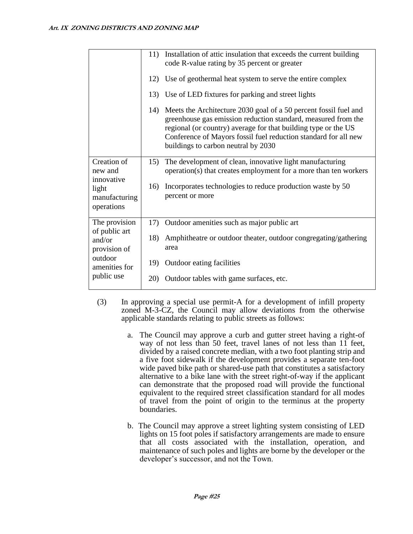|                                                                                                    | 11) | Installation of attic insulation that exceeds the current building<br>code R-value rating by 35 percent or greater                                                                                                                                                                                            |
|----------------------------------------------------------------------------------------------------|-----|---------------------------------------------------------------------------------------------------------------------------------------------------------------------------------------------------------------------------------------------------------------------------------------------------------------|
|                                                                                                    |     | 12) Use of geothermal heat system to serve the entire complex                                                                                                                                                                                                                                                 |
|                                                                                                    |     | 13) Use of LED fixtures for parking and street lights                                                                                                                                                                                                                                                         |
|                                                                                                    | 14) | Meets the Architecture 2030 goal of a 50 percent fossil fuel and<br>greenhouse gas emission reduction standard, measured from the<br>regional (or country) average for that building type or the US<br>Conference of Mayors fossil fuel reduction standard for all new<br>buildings to carbon neutral by 2030 |
| Creation of<br>new and<br>innovative<br>light<br>manufacturing<br>operations                       | 15) | The development of clean, innovative light manufacturing<br>operation(s) that creates employment for a more than ten workers                                                                                                                                                                                  |
|                                                                                                    | 16) | Incorporates technologies to reduce production waste by 50<br>percent or more                                                                                                                                                                                                                                 |
| The provision<br>of public art<br>and/or<br>provision of<br>outdoor<br>amenities for<br>public use | 17) | Outdoor amenities such as major public art                                                                                                                                                                                                                                                                    |
|                                                                                                    | 18) | Amphitheatre or outdoor theater, outdoor congregating/gathering<br>area                                                                                                                                                                                                                                       |
|                                                                                                    | 19) | Outdoor eating facilities                                                                                                                                                                                                                                                                                     |
|                                                                                                    | 20) | Outdoor tables with game surfaces, etc.                                                                                                                                                                                                                                                                       |

- (3) In approving a special use permit-A for a development of infill property zoned M-3-CZ, the Council may allow deviations from the otherwise applicable standards relating to public streets as follows:
	- a. The Council may approve a curb and gutter street having a right-of way of not less than 50 feet, travel lanes of not less than 11 feet, divided by a raised concrete median, with a two foot planting strip and a five foot sidewalk if the development provides a separate ten-foot wide paved bike path or shared-use path that constitutes a satisfactory alternative to a bike lane with the street right-of-way if the applicant can demonstrate that the proposed road will provide the functional equivalent to the required street classification standard for all modes of travel from the point of origin to the terminus at the property boundaries.
	- b. The Council may approve a street lighting system consisting of LED lights on 15 foot poles if satisfactory arrangements are made to ensure that all costs associated with the installation, operation, and maintenance of such poles and lights are borne by the developer or the developer's successor, and not the Town.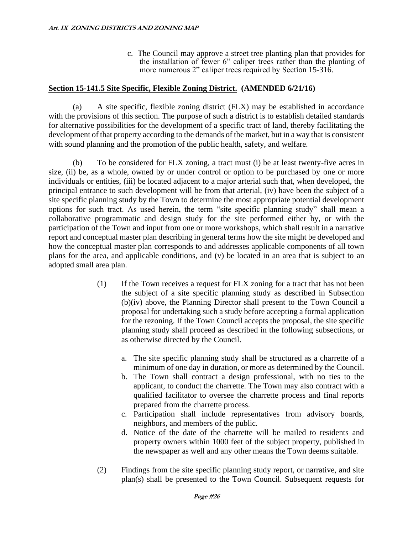c. The Council may approve a street tree planting plan that provides for the installation of fewer 6" caliper trees rather than the planting of more numerous 2" caliper trees required by Section 15-316.

### **Section 15-141.5 Site Specific, Flexible Zoning District. (AMENDED 6/21/16)**

(a) A site specific, flexible zoning district (FLX) may be established in accordance with the provisions of this section. The purpose of such a district is to establish detailed standards for alternative possibilities for the development of a specific tract of land, thereby facilitating the development of that property according to the demands of the market, but in a way that is consistent with sound planning and the promotion of the public health, safety, and welfare.

(b) To be considered for FLX zoning, a tract must (i) be at least twenty-five acres in size, (ii) be, as a whole, owned by or under control or option to be purchased by one or more individuals or entities, (iii) be located adjacent to a major arterial such that, when developed, the principal entrance to such development will be from that arterial, (iv) have been the subject of a site specific planning study by the Town to determine the most appropriate potential development options for such tract. As used herein, the term "site specific planning study" shall mean a collaborative programmatic and design study for the site performed either by, or with the participation of the Town and input from one or more workshops, which shall result in a narrative report and conceptual master plan describing in general terms how the site might be developed and how the conceptual master plan corresponds to and addresses applicable components of all town plans for the area, and applicable conditions, and (v) be located in an area that is subject to an adopted small area plan.

- (1) If the Town receives a request for FLX zoning for a tract that has not been the subject of a site specific planning study as described in Subsection (b)(iv) above, the Planning Director shall present to the Town Council a proposal for undertaking such a study before accepting a formal application for the rezoning. If the Town Council accepts the proposal, the site specific planning study shall proceed as described in the following subsections, or as otherwise directed by the Council.
	- a. The site specific planning study shall be structured as a charrette of a minimum of one day in duration, or more as determined by the Council.
	- b. The Town shall contract a design professional, with no ties to the applicant, to conduct the charrette. The Town may also contract with a qualified facilitator to oversee the charrette process and final reports prepared from the charrette process.
	- c. Participation shall include representatives from advisory boards, neighbors, and members of the public.
	- d. Notice of the date of the charrette will be mailed to residents and property owners within 1000 feet of the subject property, published in the newspaper as well and any other means the Town deems suitable.
- (2) Findings from the site specific planning study report, or narrative, and site plan(s) shall be presented to the Town Council. Subsequent requests for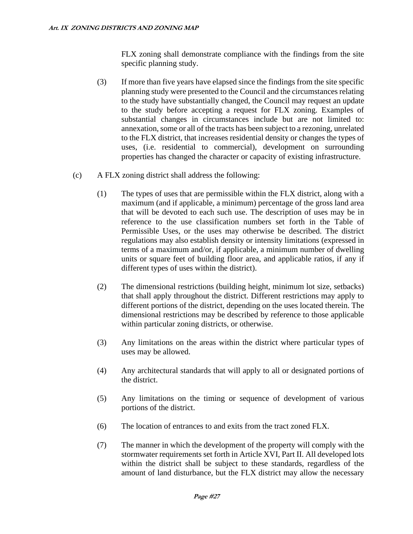FLX zoning shall demonstrate compliance with the findings from the site specific planning study.

- (3) If more than five years have elapsed since the findings from the site specific planning study were presented to the Council and the circumstances relating to the study have substantially changed, the Council may request an update to the study before accepting a request for FLX zoning. Examples of substantial changes in circumstances include but are not limited to: annexation, some or all of the tracts has been subject to a rezoning, unrelated to the FLX district, that increases residential density or changes the types of uses, (i.e. residential to commercial), development on surrounding properties has changed the character or capacity of existing infrastructure.
- (c) A FLX zoning district shall address the following:
	- (1) The types of uses that are permissible within the FLX district, along with a maximum (and if applicable, a minimum) percentage of the gross land area that will be devoted to each such use. The description of uses may be in reference to the use classification numbers set forth in the Table of Permissible Uses, or the uses may otherwise be described. The district regulations may also establish density or intensity limitations (expressed in terms of a maximum and/or, if applicable, a minimum number of dwelling units or square feet of building floor area, and applicable ratios, if any if different types of uses within the district).
	- (2) The dimensional restrictions (building height, minimum lot size, setbacks) that shall apply throughout the district. Different restrictions may apply to different portions of the district, depending on the uses located therein. The dimensional restrictions may be described by reference to those applicable within particular zoning districts, or otherwise.
	- (3) Any limitations on the areas within the district where particular types of uses may be allowed.
	- (4) Any architectural standards that will apply to all or designated portions of the district.
	- (5) Any limitations on the timing or sequence of development of various portions of the district.
	- (6) The location of entrances to and exits from the tract zoned FLX.
	- (7) The manner in which the development of the property will comply with the stormwater requirements set forth in Article XVI, Part II. All developed lots within the district shall be subject to these standards, regardless of the amount of land disturbance, but the FLX district may allow the necessary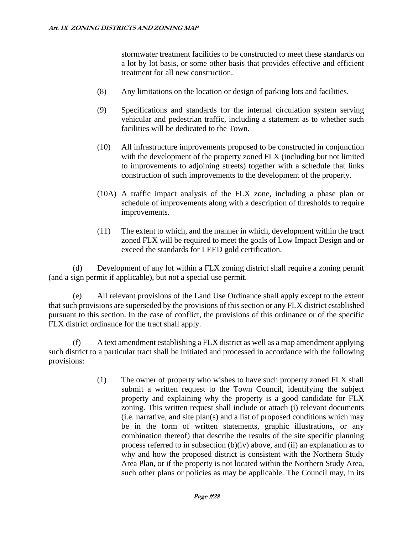stormwater treatment facilities to be constructed to meet these standards on a lot by lot basis, or some other basis that provides effective and efficient treatment for all new construction.

- (8) Any limitations on the location or design of parking lots and facilities.
- (9) Specifications and standards for the internal circulation system serving vehicular and pedestrian traffic, including a statement as to whether such facilities will be dedicated to the Town.
- (10) All infrastructure improvements proposed to be constructed in conjunction with the development of the property zoned FLX (including but not limited to improvements to adjoining streets) together with a schedule that links construction of such improvements to the development of the property.
- (10A) A traffic impact analysis of the FLX zone, including a phase plan or schedule of improvements along with a description of thresholds to require improvements.
- (11) The extent to which, and the manner in which, development within the tract zoned FLX will be required to meet the goals of Low Impact Design and or exceed the standards for LEED gold certification.

(d) Development of any lot within a FLX zoning district shall require a zoning permit (and a sign permit if applicable), but not a special use permit.

(e) All relevant provisions of the Land Use Ordinance shall apply except to the extent that such provisions are superseded by the provisions of this section or any FLX district established pursuant to this section. In the case of conflict, the provisions of this ordinance or of the specific FLX district ordinance for the tract shall apply.

(f) A text amendment establishing a FLX district as well as a map amendment applying such district to a particular tract shall be initiated and processed in accordance with the following provisions:

> (1) The owner of property who wishes to have such property zoned FLX shall submit a written request to the Town Council, identifying the subject property and explaining why the property is a good candidate for FLX zoning. This written request shall include or attach (i) relevant documents (i.e. narrative, and site plan(s) and a list of proposed conditions which may be in the form of written statements, graphic illustrations, or any combination thereof) that describe the results of the site specific planning process referred to in subsection (b)(iv) above, and (ii) an explanation as to why and how the proposed district is consistent with the Northern Study Area Plan, or if the property is not located within the Northern Study Area, such other plans or policies as may be applicable. The Council may, in its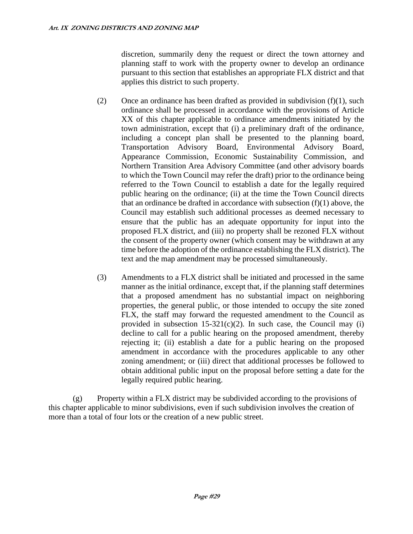discretion, summarily deny the request or direct the town attorney and planning staff to work with the property owner to develop an ordinance pursuant to this section that establishes an appropriate FLX district and that applies this district to such property.

- (2) Once an ordinance has been drafted as provided in subdivision  $(f)(1)$ , such ordinance shall be processed in accordance with the provisions of Article XX of this chapter applicable to ordinance amendments initiated by the town administration, except that (i) a preliminary draft of the ordinance, including a concept plan shall be presented to the planning board, Transportation Advisory Board, Environmental Advisory Board, Appearance Commission, Economic Sustainability Commission, and Northern Transition Area Advisory Committee (and other advisory boards to which the Town Council may refer the draft) prior to the ordinance being referred to the Town Council to establish a date for the legally required public hearing on the ordinance; (ii) at the time the Town Council directs that an ordinance be drafted in accordance with subsection  $(f)(1)$  above, the Council may establish such additional processes as deemed necessary to ensure that the public has an adequate opportunity for input into the proposed FLX district, and (iii) no property shall be rezoned FLX without the consent of the property owner (which consent may be withdrawn at any time before the adoption of the ordinance establishing the FLX district). The text and the map amendment may be processed simultaneously.
- (3) Amendments to a FLX district shall be initiated and processed in the same manner as the initial ordinance, except that, if the planning staff determines that a proposed amendment has no substantial impact on neighboring properties, the general public, or those intended to occupy the site zoned FLX, the staff may forward the requested amendment to the Council as provided in subsection  $15-321(c)(2)$ . In such case, the Council may (i) decline to call for a public hearing on the proposed amendment, thereby rejecting it; (ii) establish a date for a public hearing on the proposed amendment in accordance with the procedures applicable to any other zoning amendment; or (iii) direct that additional processes be followed to obtain additional public input on the proposal before setting a date for the legally required public hearing.

(g) Property within a FLX district may be subdivided according to the provisions of this chapter applicable to minor subdivisions, even if such subdivision involves the creation of more than a total of four lots or the creation of a new public street.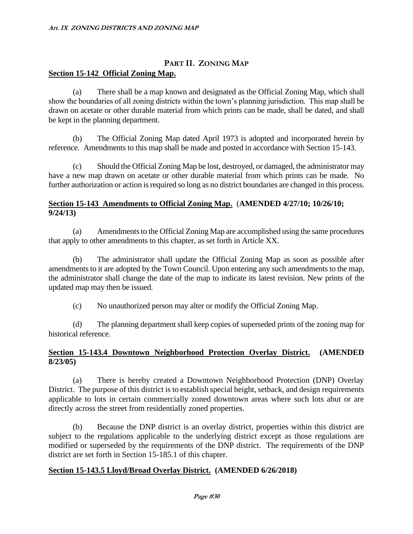# **PART II. ZONING MAP Section 15-142 Official Zoning Map.**

(a) There shall be a map known and designated as the Official Zoning Map, which shall show the boundaries of all zoning districts within the town's planning jurisdiction. This map shall be drawn on acetate or other durable material from which prints can be made, shall be dated, and shall be kept in the planning department.

(b) The Official Zoning Map dated April 1973 is adopted and incorporated herein by reference. Amendments to this map shall be made and posted in accordance with Section 15-143.

(c) Should the Official Zoning Map be lost, destroyed, or damaged, the administrator may have a new map drawn on acetate or other durable material from which prints can be made. No further authorization or action is required so long as no district boundaries are changed in this process.

#### **Section 15-143 Amendments to Official Zoning Map.** (**AMENDED 4/27/10; 10/26/10; 9/24/13)**

(a) Amendments to the Official Zoning Map are accomplished using the same procedures that apply to other amendments to this chapter, as set forth in Article XX.

(b) The administrator shall update the Official Zoning Map as soon as possible after amendments to it are adopted by the Town Council. Upon entering any such amendments to the map, the administrator shall change the date of the map to indicate its latest revision. New prints of the updated map may then be issued.

(c) No unauthorized person may alter or modify the Official Zoning Map.

(d) The planning department shall keep copies of superseded prints of the zoning map for historical reference.

# **Section 15-143.4 Downtown Neighborhood Protection Overlay District. (AMENDED 8/23/05)**

(a) There is hereby created a Downtown Neighborhood Protection (DNP) Overlay District. The purpose of this district is to establish special height, setback, and design requirements applicable to lots in certain commercially zoned downtown areas where such lots abut or are directly across the street from residentially zoned properties.

(b) Because the DNP district is an overlay district, properties within this district are subject to the regulations applicable to the underlying district except as those regulations are modified or superseded by the requirements of the DNP district. The requirements of the DNP district are set forth in Section 15-185.1 of this chapter.

# **Section 15-143.5 Lloyd/Broad Overlay District. (AMENDED 6/26/2018)**